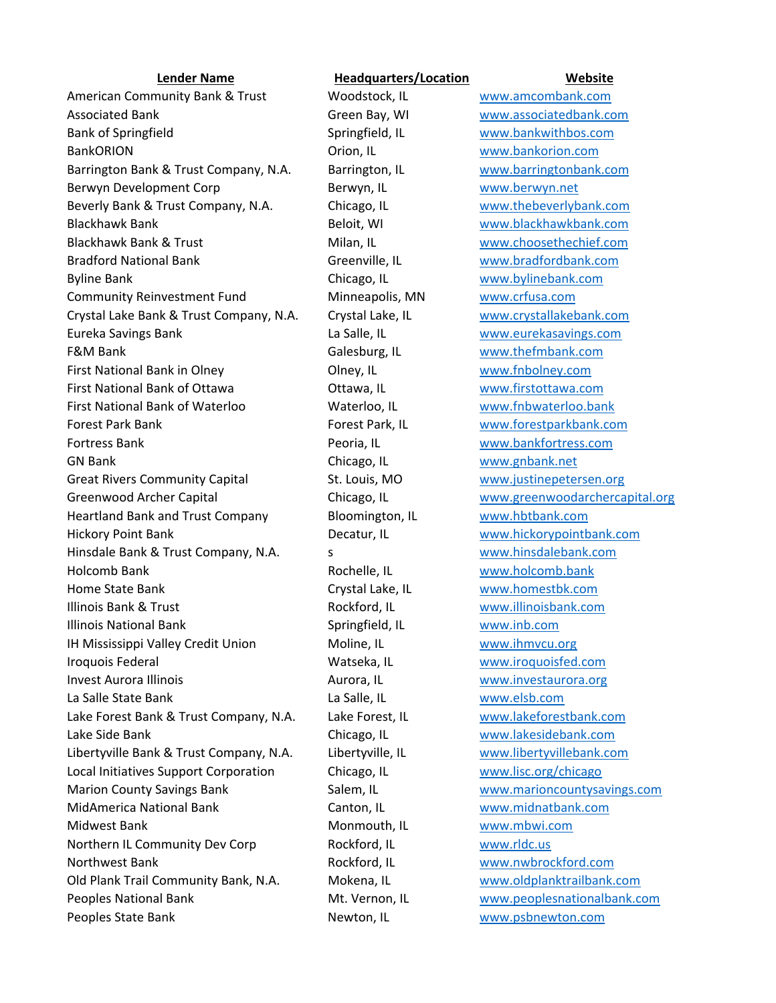American Community Bank & Trust Woodstock, IL www.amcombank.com Associated Bank Green Bay, WI www.associatedbank.com Bank of Springfield Springfield, IL www.bankwithbos.com BankORION Orion, IL www.bankorion.com Barrington Bank & Trust Company, N.A. Barrington, IL www.barringtonbank.com Berwyn Development Corp **Berwyn, IL** WWW.berwyn.net Beverly Bank & Trust Company, N.A. Chicago, IL www.thebeverlybank.com Blackhawk Bank Beloit, WI www.blackhawkbank.com Blackhawk Bank & Trust Milan, IL www.choosethechief.com Bradford National Bank Greenville, IL www.bradfordbank.com Byline Bank Chicago, IL www.bylinebank.com Community Reinvestment Fund Minneapolis, MN www.crfusa.com Crystal Lake Bank & Trust Company, N.A. Crystal Lake, IL www.crystallakebank.com Eureka Savings Bank La Salle, IL www.eurekasavings.com F&M Bank Galesburg, IL www.thefmbank.com First National Bank in Olney Olney, IL www.fnbolney.com First National Bank of Ottawa Ottawa, IL www.firstottawa.com First National Bank of Waterloo Waterloo, IL www.fnbwaterloo.bank Forest Park Bank Forest Park, IL www.forestparkbank.com Fortress Bank Peoria, IL www.bankfortress.com GN Bank Chicago, IL www.gnbank.net Great Rivers Community Capital St. Louis, MO www.justinepetersen.org Greenwood Archer Capital **Chicago, IL** www.greenwoodarchercapital.org Heartland Bank and Trust Company Bloomington, IL www.hbtbank.com Hickory Point Bank Decatur, IL www.hickorypointbank.com Hinsdale Bank & Trust Company, N.A. s and the second www.hinsdalebank.com Holcomb Bank **Rochelle, IL** www.holcomb.bank Home State Bank Crystal Lake, IL www.homestbk.com Illinois Bank & Trust **Rockford, IL** WWW.illinoisbank.com Illinois National Bank Springfield, IL www.inb.com IH Mississippi Valley Credit Union Moline, IL www.ihmvcu.org Iroquois Federal Watseka, IL www.iroquoisfed.com Invest Aurora Illinois **Aurora, Illywither Aurora, IL** www.investaurora.org La Salle State Bank La Salle, IL www.elsb.com Lake Forest Bank & Trust Company, N.A. Lake Forest, IL www.lakeforestbank.com Lake Side Bank Chicago, IL www.lakesidebank.com Libertyville Bank & Trust Company, N.A. Libertyville, IL www.libertyvillebank.com Local Initiatives Support Corporation Chicago, IL www.lisc.org/chicago Marion County Savings Bank Salem, IL www.marioncountysavings.com MidAmerica National Bank Canton, IL www.midnatbank.com Midwest Bank Monmouth, IL www.mbwi.com Northern IL Community Dev Corp Rockford, IL www.rldc.us Northwest Bank **Rockford, IL Manual William Rockford.** Communist Reckford.com Old Plank Trail Community Bank, N.A. Mokena, IL www.oldplanktrailbank.com Peoples National Bank Music Communicational Bank Mt. Vernon, IL www.peoplesnationalbank.com Peoples State Bank Newton, IL www.psbnewton.com

## **Lender Name Headquarters/Location Website**